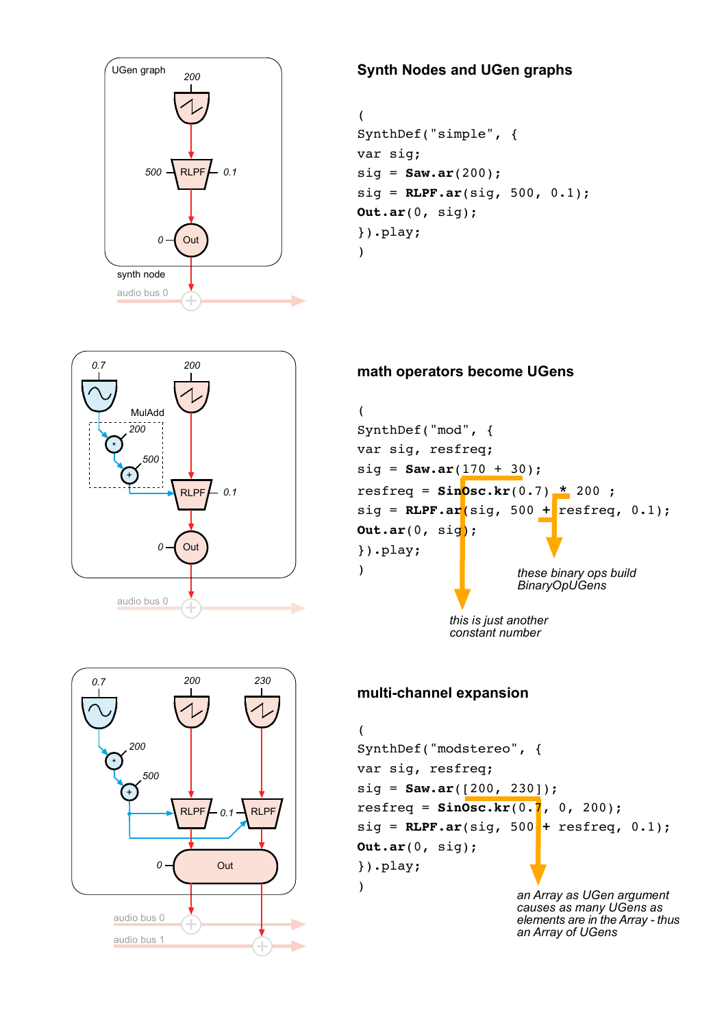

# **Synth Nodes and UGen graphs**

```
(
SynthDef("simple", {
var sig;
sig = Saw.ar(200);
sig = RLPF.ar(sig, 500, 0.1);
Out.ar(0, sig);
}).play;
)
```


Out

*0.1*

RLPF

 $\widehat{\pm}$ 

*230*

RLPF

*200*

 $\widehat{\pm}$ 

audio bus 0

*0*

*500*

+

*200*

\*

*0.7*

audio bus 1

### **math operators become UGens**



*this is just another constant number*

#### **multi-channel expansion**

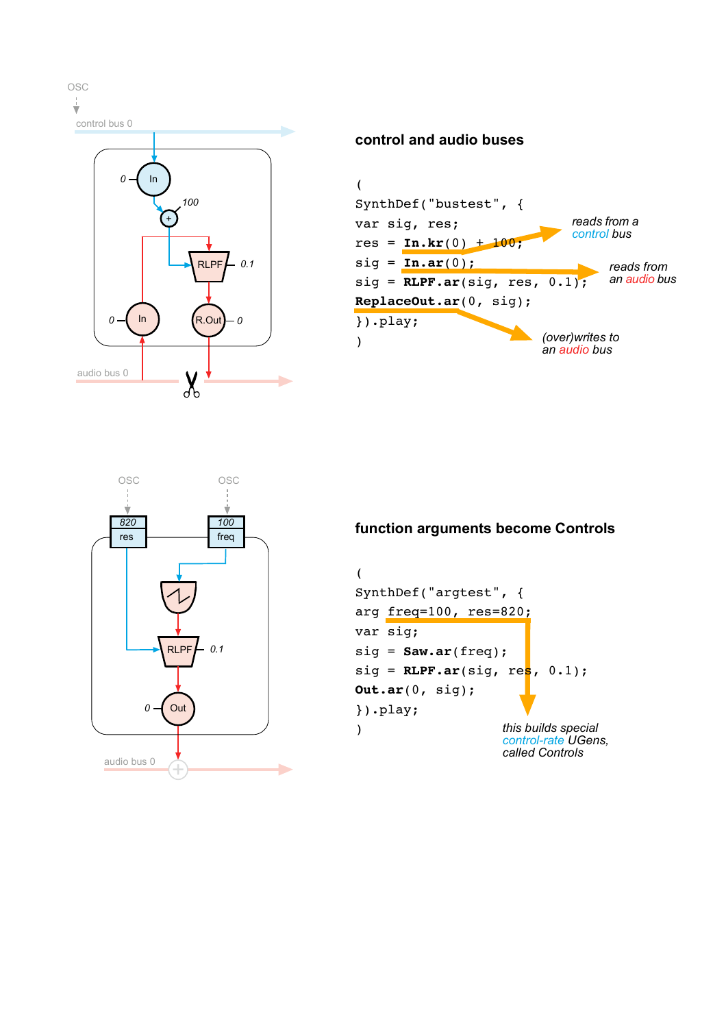

#### **control and audio buses**





# **function arguments become Controls**